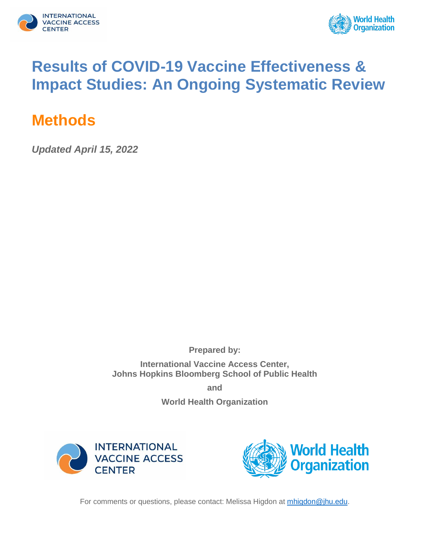



# **Results of COVID-19 Vaccine Effectiveness & Impact Studies: An Ongoing Systematic Review**

# **Methods**

*Updated April 15, 2022*

**Prepared by:**

**International Vaccine Access Center, Johns Hopkins Bloomberg School of Public Health**

**and**

**World Health Organization**





For comments or questions, please contact: Melissa Higdon at [mhigdon@jhu.edu.](mailto:mhigdon@jhu.edu)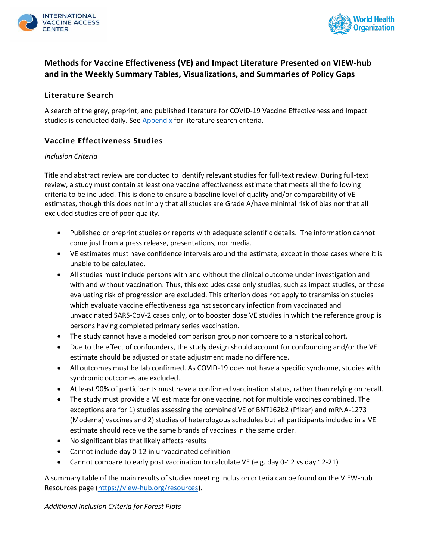



# **Methods for Vaccine Effectiveness (VE) and Impact Literature Presented on VIEW-hub and in the Weekly Summary Tables, Visualizations, and Summaries of Policy Gaps**

### **Literature Search**

A search of the grey, preprint, and published literature for COVID-19 Vaccine Effectiveness and Impact studies is conducted daily. See [Appendix](#page-4-0) for literature search criteria.

### **Vaccine Effectiveness Studies**

#### *Inclusion Criteria*

Title and abstract review are conducted to identify relevant studies for full-text review. During full-text review, a study must contain at least one vaccine effectiveness estimate that meets all the following criteria to be included. This is done to ensure a baseline level of quality and/or comparability of VE estimates, though this does not imply that all studies are Grade A/have minimal risk of bias nor that all excluded studies are of poor quality.

- Published or preprint studies or reports with adequate scientific details. The information cannot come just from a press release, presentations, nor media.
- VE estimates must have confidence intervals around the estimate, except in those cases where it is unable to be calculated.
- All studies must include persons with and without the clinical outcome under investigation and with and without vaccination. Thus, this excludes case only studies, such as impact studies, or those evaluating risk of progression are excluded. This criterion does not apply to transmission studies which evaluate vaccine effectiveness against secondary infection from vaccinated and unvaccinated SARS-CoV-2 cases only, or to booster dose VE studies in which the reference group is persons having completed primary series vaccination.
- The study cannot have a modeled comparison group nor compare to a historical cohort.
- Due to the effect of confounders, the study design should account for confounding and/or the VE estimate should be adjusted or state adjustment made no difference.
- All outcomes must be lab confirmed. As COVID-19 does not have a specific syndrome, studies with syndromic outcomes are excluded.
- At least 90% of participants must have a confirmed vaccination status, rather than relying on recall.
- The study must provide a VE estimate for one vaccine, not for multiple vaccines combined. The exceptions are for 1) studies assessing the combined VE of BNT162b2 (Pfizer) and mRNA-1273 (Moderna) vaccines and 2) studies of heterologous schedules but all participants included in a VE estimate should receive the same brands of vaccines in the same order.
- No significant bias that likely affects results
- Cannot include day 0-12 in unvaccinated definition
- Cannot compare to early post vaccination to calculate VE (e.g. day 0-12 vs day 12-21)

A summary table of the main results of studies meeting inclusion criteria can be found on the VIEW-hub Resources page [\(https://view-hub.org/resources\)](https://view-hub.org/resources).

*Additional Inclusion Criteria for Forest Plots*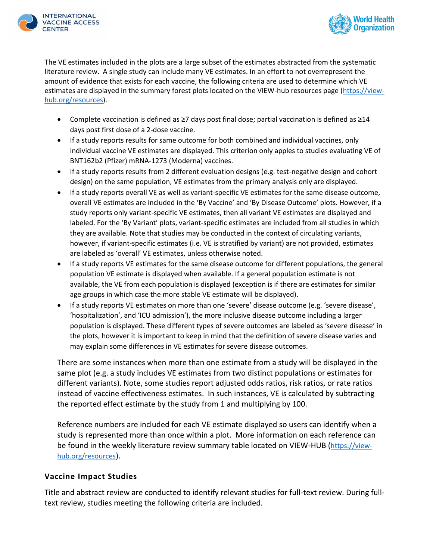



The VE estimates included in the plots are a large subset of the estimates abstracted from the systematic literature review. A single study can include many VE estimates. In an effort to not overrepresent the amount of evidence that exists for each vaccine, the following criteria are used to determine which VE estimates are displayed in the summary forest plots located on the VIEW-hub resources page [\(https://view](https://view-hub.org/resources)[hub.org/resources\)](https://view-hub.org/resources).

- Complete vaccination is defined as ≥7 days post final dose; partial vaccination is defined as ≥14 days post first dose of a 2-dose vaccine.
- If a study reports results for same outcome for both combined and individual vaccines, only individual vaccine VE estimates are displayed. This criterion only apples to studies evaluating VE of BNT162b2 (Pfizer) mRNA-1273 (Moderna) vaccines.
- If a study reports results from 2 different evaluation designs (e.g. test-negative design and cohort design) on the same population, VE estimates from the primary analysis only are displayed.
- If a study reports overall VE as well as variant-specific VE estimates for the same disease outcome, overall VE estimates are included in the 'By Vaccine' and 'By Disease Outcome' plots. However, if a study reports only variant-specific VE estimates, then all variant VE estimates are displayed and labeled. For the 'By Variant' plots, variant-specific estimates are included from all studies in which they are available. Note that studies may be conducted in the context of circulating variants, however, if variant-specific estimates (i.e. VE is stratified by variant) are not provided, estimates are labeled as 'overall' VE estimates, unless otherwise noted.
- If a study reports VE estimates for the same disease outcome for different populations, the general population VE estimate is displayed when available. If a general population estimate is not available, the VE from each population is displayed (exception is if there are estimates for similar age groups in which case the more stable VE estimate will be displayed).
- If a study reports VE estimates on more than one 'severe' disease outcome (e.g. 'severe disease', 'hospitalization', and 'ICU admission'), the more inclusive disease outcome including a larger population is displayed. These different types of severe outcomes are labeled as 'severe disease' in the plots, however it is important to keep in mind that the definition of severe disease varies and may explain some differences in VE estimates for severe disease outcomes.

There are some instances when more than one estimate from a study will be displayed in the same plot (e.g. a study includes VE estimates from two distinct populations or estimates for different variants). Note, some studies report adjusted odds ratios, risk ratios, or rate ratios instead of vaccine effectiveness estimates. In such instances, VE is calculated by subtracting the reported effect estimate by the study from 1 and multiplying by 100.

Reference numbers are included for each VE estimate displayed so users can identify when a study is represented more than once within a plot. More information on each reference can be found in the weekly literature review summary table located on VIEW-HUB ([https://view](https://view-hub.org/resources)[hub.org/resources](https://view-hub.org/resources)).

# **Vaccine Impact Studies**

Title and abstract review are conducted to identify relevant studies for full-text review. During fulltext review, studies meeting the following criteria are included.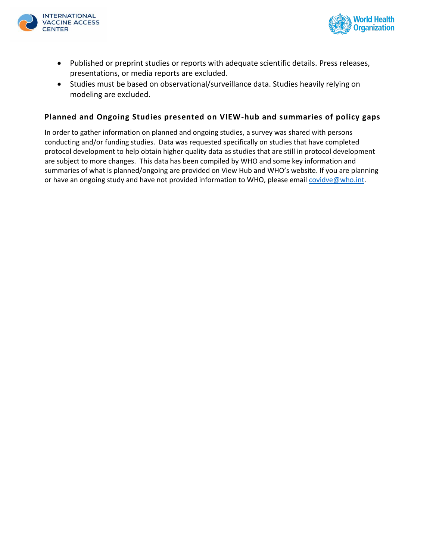



- Published or preprint studies or reports with adequate scientific details. Press releases, presentations, or media reports are excluded.
- Studies must be based on observational/surveillance data. Studies heavily relying on modeling are excluded.

### **Planned and Ongoing Studies presented on VIEW-hub and summaries of policy gaps**

In order to gather information on planned and ongoing studies, a survey was shared with persons conducting and/or funding studies. Data was requested specifically on studies that have completed protocol development to help obtain higher quality data as studies that are still in protocol development are subject to more changes. This data has been compiled by WHO and some key information and summaries of what is planned/ongoing are provided on View Hub and WHO's website. If you are planning or have an ongoing study and have not provided information to WHO, please email [covidve@who.int.](mailto:covidve@who.int)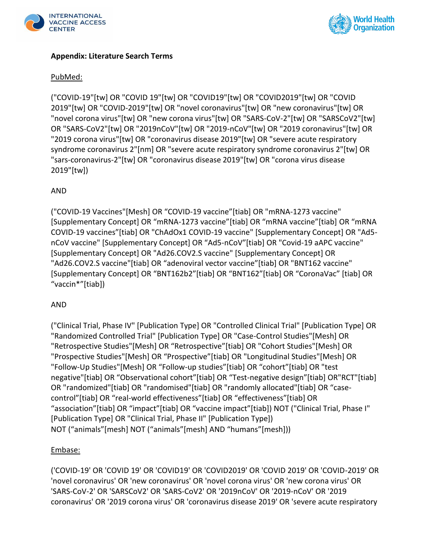



# <span id="page-4-0"></span>**Appendix: Literature Search Terms**

### PubMed:

("COVID-19"[tw] OR "COVID 19"[tw] OR "COVID19"[tw] OR "COVID2019"[tw] OR "COVID 2019"[tw] OR "COVID-2019"[tw] OR "novel coronavirus"[tw] OR "new coronavirus"[tw] OR "novel corona virus"[tw] OR "new corona virus"[tw] OR "SARS-CoV-2"[tw] OR "SARSCoV2"[tw] OR "SARS-CoV2"[tw] OR "2019nCoV"[tw] OR "2019-nCoV"[tw] OR "2019 coronavirus"[tw] OR "2019 corona virus"[tw] OR "coronavirus disease 2019"[tw] OR "severe acute respiratory syndrome coronavirus 2"[nm] OR "severe acute respiratory syndrome coronavirus 2"[tw] OR "sars-coronavirus-2"[tw] OR "coronavirus disease 2019"[tw] OR "corona virus disease 2019"[tw])

### AND

("COVID-19 Vaccines"[Mesh] OR "COVID-19 vaccine"[tiab] OR "mRNA-1273 vaccine" [Supplementary Concept] OR "mRNA-1273 vaccine"[tiab] OR "mRNA vaccine"[tiab] OR "mRNA COVID-19 vaccines"[tiab] OR "ChAdOx1 COVID-19 vaccine" [Supplementary Concept] OR "Ad5 nCoV vaccine" [Supplementary Concept] OR "Ad5-nCoV"[tiab] OR "Covid-19 aAPC vaccine" [Supplementary Concept] OR "Ad26.COV2.S vaccine" [Supplementary Concept] OR "Ad26.COV2.S vaccine"[tiab] OR "adenoviral vector vaccine"[tiab] OR "BNT162 vaccine" [Supplementary Concept] OR "BNT162b2"[tiab] OR "BNT162"[tiab] OR "CoronaVac" [tiab] OR "vaccin\*"[tiab])

### AND

("Clinical Trial, Phase IV" [Publication Type] OR "Controlled Clinical Trial" [Publication Type] OR "Randomized Controlled Trial" [Publication Type] OR "Case-Control Studies"[Mesh] OR "Retrospective Studies"[Mesh] OR "Retrospective"[tiab] OR "Cohort Studies"[Mesh] OR "Prospective Studies"[Mesh] OR "Prospective"[tiab] OR "Longitudinal Studies"[Mesh] OR "Follow-Up Studies"[Mesh] OR "Follow-up studies"[tiab] OR "cohort"[tiab] OR "test negative"[tiab] OR "Observational cohort"[tiab] OR "Test-negative design"[tiab] OR"RCT"[tiab] OR "randomized"[tiab] OR "randomised"[tiab] OR "randomly allocated"[tiab] OR "casecontrol"[tiab] OR "real-world effectiveness"[tiab] OR "effectiveness"[tiab] OR "association"[tiab] OR "impact"[tiab] OR "vaccine impact"[tiab]) NOT ("Clinical Trial, Phase I" [Publication Type] OR "Clinical Trial, Phase II" [Publication Type]) NOT ("animals"[mesh] NOT ("animals"[mesh] AND "humans"[mesh]))

#### Embase:

('COVID-19' OR 'COVID 19' OR 'COVID19' OR 'COVID2019' OR 'COVID 2019' OR 'COVID-2019' OR 'novel coronavirus' OR 'new coronavirus' OR 'novel corona virus' OR 'new corona virus' OR 'SARS-CoV-2' OR 'SARSCoV2' OR 'SARS-CoV2' OR '2019nCoV' OR '2019-nCoV' OR '2019 coronavirus' OR '2019 corona virus' OR 'coronavirus disease 2019' OR 'severe acute respiratory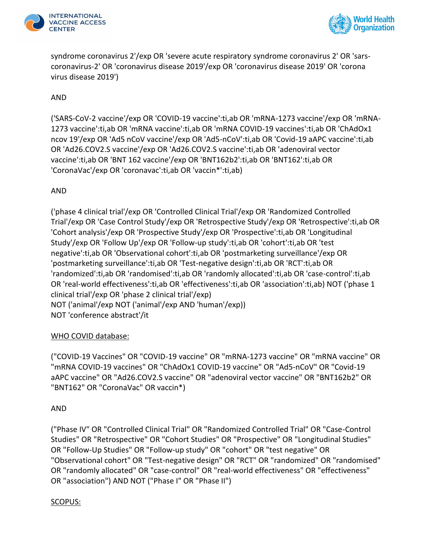



syndrome coronavirus 2'/exp OR 'severe acute respiratory syndrome coronavirus 2' OR 'sarscoronavirus-2' OR 'coronavirus disease 2019'/exp OR 'coronavirus disease 2019' OR 'corona virus disease 2019')

# AND

('SARS-CoV-2 vaccine'/exp OR 'COVID-19 vaccine':ti,ab OR 'mRNA-1273 vaccine'/exp OR 'mRNA-1273 vaccine':ti,ab OR 'mRNA vaccine':ti,ab OR 'mRNA COVID-19 vaccines':ti,ab OR 'ChAdOx1 ncov 19'/exp OR 'Ad5 nCoV vaccine'/exp OR 'Ad5-nCoV':ti,ab OR 'Covid-19 aAPC vaccine':ti,ab OR 'Ad26.COV2.S vaccine'/exp OR 'Ad26.COV2.S vaccine':ti,ab OR 'adenoviral vector vaccine':ti,ab OR 'BNT 162 vaccine'/exp OR 'BNT162b2':ti,ab OR 'BNT162':ti,ab OR 'CoronaVac'/exp OR 'coronavac':ti,ab OR 'vaccin\*':ti,ab)

# AND

('phase 4 clinical trial'/exp OR 'Controlled Clinical Trial'/exp OR 'Randomized Controlled Trial'/exp OR 'Case Control Study'/exp OR 'Retrospective Study'/exp OR 'Retrospective':ti,ab OR 'Cohort analysis'/exp OR 'Prospective Study'/exp OR 'Prospective':ti,ab OR 'Longitudinal Study'/exp OR 'Follow Up'/exp OR 'Follow-up study':ti,ab OR 'cohort':ti,ab OR 'test negative':ti,ab OR 'Observational cohort':ti,ab OR 'postmarketing surveillance'/exp OR 'postmarketing surveillance':ti,ab OR 'Test-negative design':ti,ab OR 'RCT':ti,ab OR 'randomized':ti,ab OR 'randomised':ti,ab OR 'randomly allocated':ti,ab OR 'case-control':ti,ab OR 'real-world effectiveness':ti,ab OR 'effectiveness':ti,ab OR 'association':ti,ab) NOT ('phase 1 clinical trial'/exp OR 'phase 2 clinical trial'/exp) NOT ('animal'/exp NOT ('animal'/exp AND 'human'/exp)) NOT 'conference abstract'/it

# WHO COVID database:

("COVID-19 Vaccines" OR "COVID-19 vaccine" OR "mRNA-1273 vaccine" OR "mRNA vaccine" OR "mRNA COVID-19 vaccines" OR "ChAdOx1 COVID-19 vaccine" OR "Ad5-nCoV" OR "Covid-19 aAPC vaccine" OR "Ad26.COV2.S vaccine" OR "adenoviral vector vaccine" OR "BNT162b2" OR "BNT162" OR "CoronaVac" OR vaccin\*)

### AND

("Phase IV" OR "Controlled Clinical Trial" OR "Randomized Controlled Trial" OR "Case-Control Studies" OR "Retrospective" OR "Cohort Studies" OR "Prospective" OR "Longitudinal Studies" OR "Follow-Up Studies" OR "Follow-up study" OR "cohort" OR "test negative" OR "Observational cohort" OR "Test-negative design" OR "RCT" OR "randomized" OR "randomised" OR "randomly allocated" OR "case-control" OR "real-world effectiveness" OR "effectiveness" OR "association") AND NOT ("Phase I" OR "Phase II")

### SCOPUS: